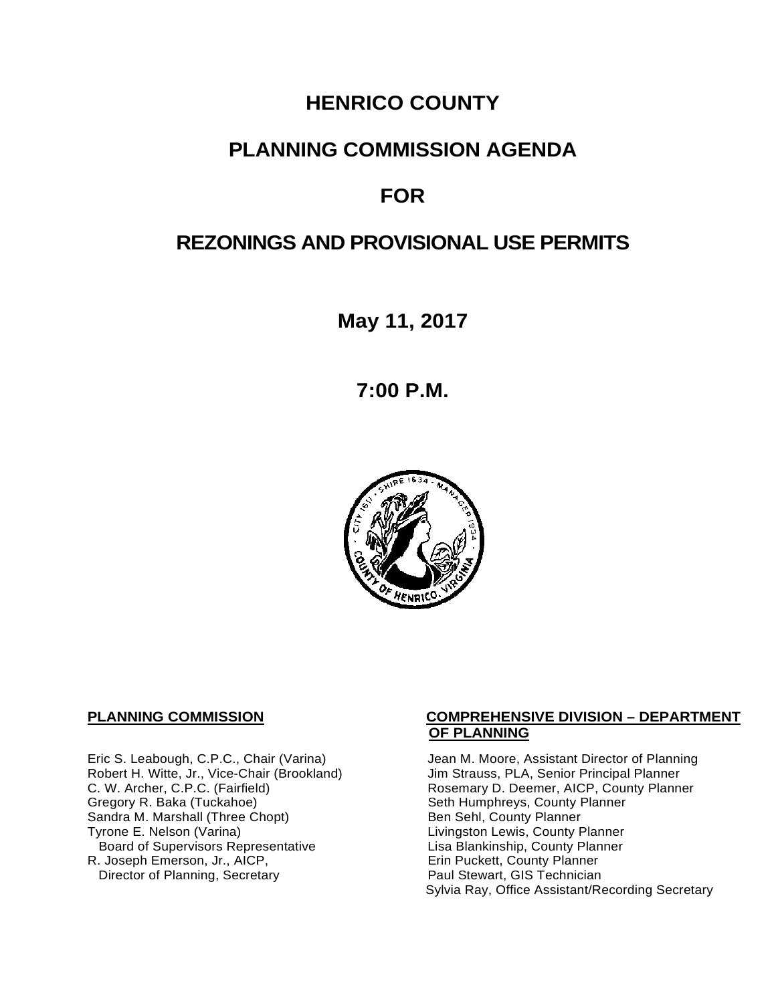# **HENRICO COUNTY**

# **PLANNING COMMISSION AGENDA**

# **FOR**

# **REZONINGS AND PROVISIONAL USE PERMITS**

**May 11, 2017**

**7:00 P.M.**



Robert H. Witte, Jr., Vice-Chair (Brookland)<br>C. W. Archer, C.P.C. (Fairfield) Sandra M. Marshall (Three Chopt)<br>Tyrone E. Nelson (Varina) Board of Supervisors Representative Lisa Blankinship, County Planner<br>Lisa Blankinship, County Planner<br>Erin Puckett, County Planner R. Joseph Emerson, Jr., AICP, Erin Puckett, County Planner<br>
Director of Planning, Secretary **Exercise Paul Stewart, GIS Technician** Director of Planning, Secretary

#### **PLANNING COMMISSION COMPREHENSIVE DIVISION – DEPARTMENT OF PLANNING**

Eric S. Leabough, C.P.C., Chair (Varina) Jean M. Moore, Assistant Director of Planning<br>Robert H. Witte, Jr., Vice-Chair (Brookland) Jim Strauss, PLA, Senior Principal Planner C. W. Archer, C.P.C. (Fairfield) <br>Gregory R. Baka (Tuckahoe) Rosemary D. Deemer, AICP, County Planner<br>
Seth Humphreys, County Planner Seth Humphreys, County Planner<br>Ben Sehl, County Planner Livingston Lewis, County Planner Sylvia Ray, Office Assistant/Recording Secretary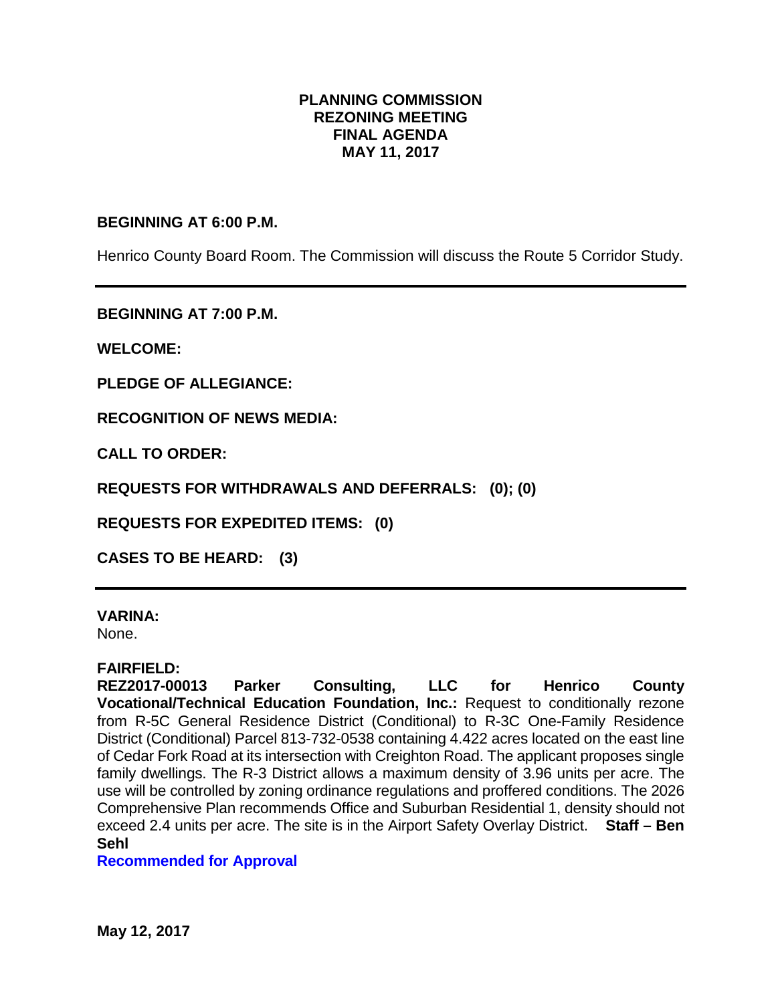# **PLANNING COMMISSION REZONING MEETING FINAL AGENDA MAY 11, 2017**

## **BEGINNING AT 6:00 P.M.**

Henrico County Board Room. The Commission will discuss the Route 5 Corridor Study.

**BEGINNING AT 7:00 P.M.**

**WELCOME:**

**PLEDGE OF ALLEGIANCE:**

**RECOGNITION OF NEWS MEDIA:**

**CALL TO ORDER:**

**REQUESTS FOR WITHDRAWALS AND DEFERRALS: (0); (0)**

**REQUESTS FOR EXPEDITED ITEMS: (0)**

**CASES TO BE HEARD: (3)**

### **VARINA:**

None.

### **FAIRFIELD:**

**REZ2017-00013 Parker Consulting, LLC for Henrico County Vocational/Technical Education Foundation, Inc.:** Request to conditionally rezone from R-5C General Residence District (Conditional) to R-3C One-Family Residence District (Conditional) Parcel 813-732-0538 containing 4.422 acres located on the east line of Cedar Fork Road at its intersection with Creighton Road. The applicant proposes single family dwellings. The R-3 District allows a maximum density of 3.96 units per acre. The use will be controlled by zoning ordinance regulations and proffered conditions. The 2026 Comprehensive Plan recommends Office and Suburban Residential 1, density should not exceed 2.4 units per acre. The site is in the Airport Safety Overlay District. **Staff – Ben Sehl**

### **Recommended for Approval**